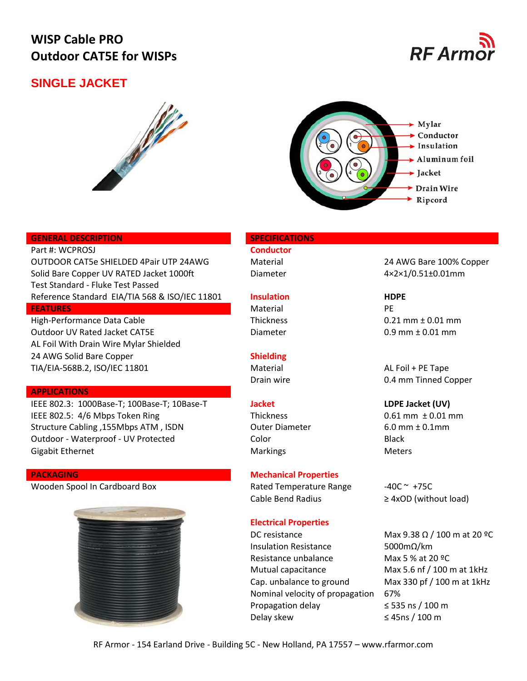# **WISP Cable PRO Outdoor CAT5E for WISPs**

## **SINGLE JACKET**







### **GENERAL DESCRIPTION SPECIFICATIONS**

Part #: WCPROSJ **Conductor** OUTDOOR CAT5e SHIELDED 4Pair UTP 24AWG Material Material 24 AWG Bare 100% Copper Solid Bare Copper UV RATED Jacket 1000ft Diameter Diameter 4×2×1/0.51±0.01mm Test Standard - Fluke Test Passed Reference Standard EIA/TIA 568 & ISO/IEC 11801 **Insulation HDPE FEATURES** PERSON DESCRIPTION OF PERSONAL PROPERTY OF PERSONAL PROPERTY OF PERSONAL PROPERTY OF PERSONAL PROPERTY OF PERSONAL PROPERTY OF PERSONAL PROPERTY OF PERSONAL PROPERTY OF PERSONAL PROPERTY OF PERSONAL PROPERTY OF

High-Performance Data Cable Thickness 0.21 mm ± 0.01 mm Outdoor UV Rated Jacket CAT5E  $D$  Diameter  $0.9$  mm  $\pm 0.01$  mm AL Foil With Drain Wire Mylar Shielded 24 AWG Solid Bare Copper **Shielding** TIA/EIA-568B.2, ISO/IEC 11801 Material Material AL Foil + PE Tape

### **APPLICATIONS**

IEEE 802.3: 1000Base-T; 100Base-T; 10Base-T **Jacket LDPE Jacket (UV)** IEEE 802.5: 4/6 Mbps Token Ring Thickness Thickness 0.61 mm  $\pm$  0.01 mm Structure Cabling ,155Mbps ATM , ISDN Outer Diameter 6.0 mm ± 0.1mm Outdoor - Waterproof - UV Protected Color Black Gigabit Ethernet **Markings** Markings Meters Meters

Wooden Spool In Cardboard Box Rated Temperature Range -40C ~ +75C



## **PACKAGING Mechanical Properties**

Cable Bend Radius  $\geq 4xOD$  (without load)

## **Electrical Properties**

DC resistance Max  $9.38 \Omega / 100$  m at 20 °C Insulation Resistance 5000mΩ/km Resistance unbalance Max 5 % at 20 °C Mutual capacitance Max 5.6 nf / 100 m at 1kHz Cap. unbalance to ground Max 330 pf / 100 m at 1kHz Nominal velocity of propagation 67% Propagation delay ≤ 535 ns / 100 m Delay skew  $\leq 45$ ns / 100 m

Drain wire **Drain Wite Copper 0.4 mm Tinned Copper**